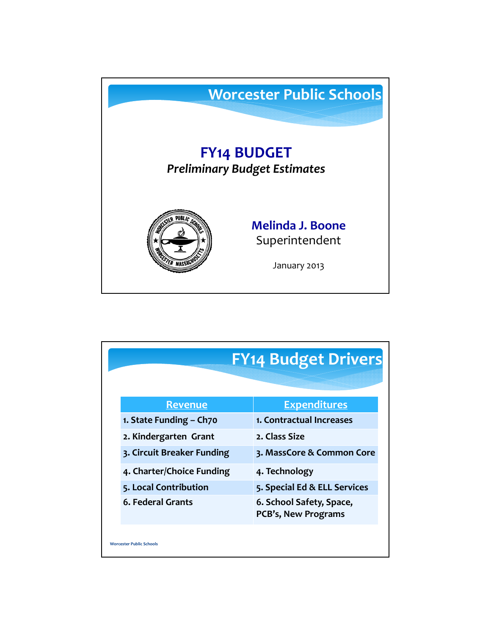

| <b>FY14 Budget Drivers</b>      |                                                 |  |
|---------------------------------|-------------------------------------------------|--|
|                                 |                                                 |  |
| <b>Revenue</b>                  | <b>Expenditures</b>                             |  |
| 1. State Funding - Ch70         | 1. Contractual Increases                        |  |
| 2. Kindergarten Grant           | 2. Class Size                                   |  |
| 3. Circuit Breaker Funding      | 3. MassCore & Common Core                       |  |
| 4. Charter/Choice Funding       | 4. Technology                                   |  |
| 5. Local Contribution           | 5. Special Ed & ELL Services                    |  |
| 6. Federal Grants               | 6. School Safety, Space,<br>PCB's, New Programs |  |
| <b>Worcester Public Schools</b> |                                                 |  |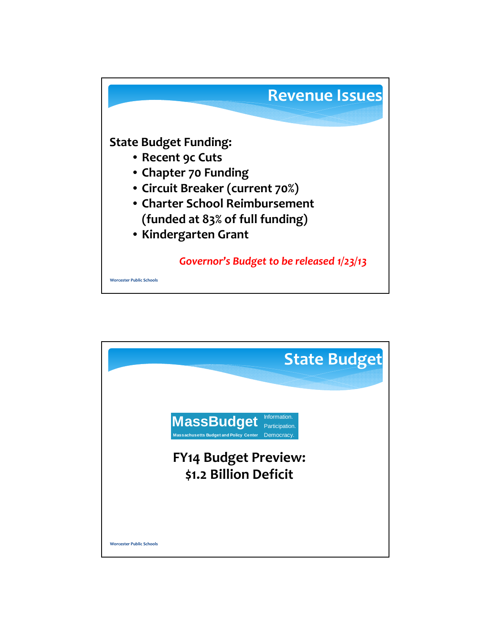

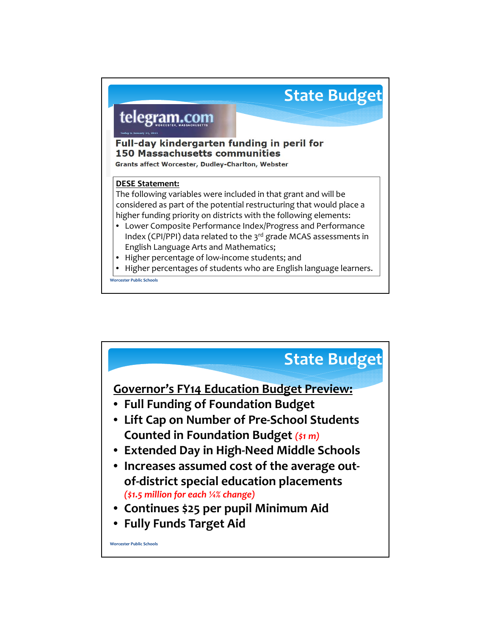

**Worcester Public Schools**

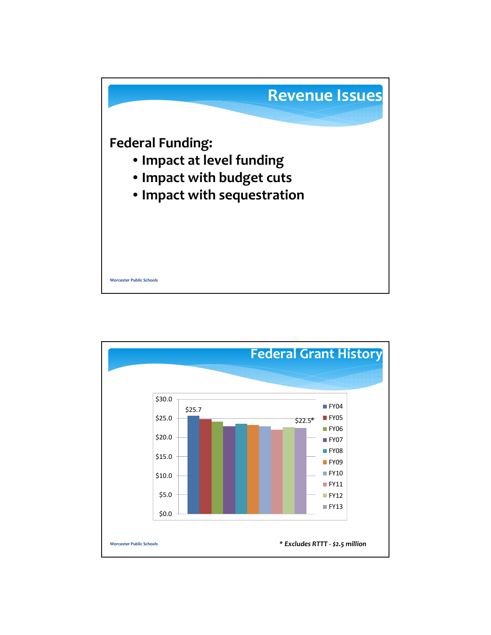

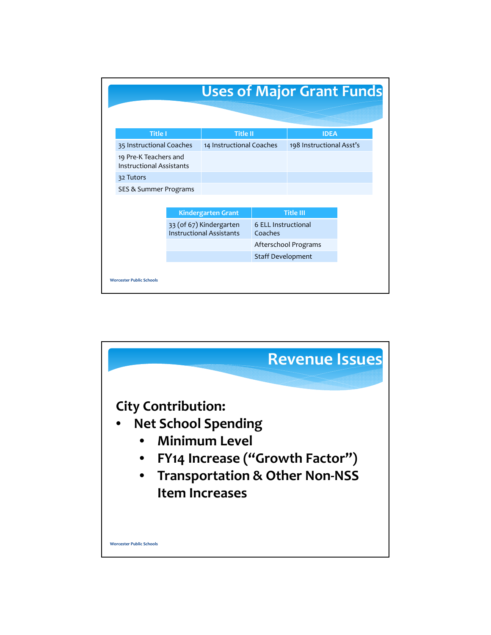| <b>Uses of Major Grant Funds</b>                         |                                                            |                          |                      |                          |
|----------------------------------------------------------|------------------------------------------------------------|--------------------------|----------------------|--------------------------|
|                                                          |                                                            |                          |                      |                          |
| <b>Title I</b>                                           |                                                            | <b>Title II</b>          |                      |                          |
| 35 Instructional Coaches                                 |                                                            | 14 Instructional Coaches |                      | 198 Instructional Asst's |
| 19 Pre-K Teachers and<br><b>Instructional Assistants</b> |                                                            |                          |                      |                          |
| 32 Tutors                                                |                                                            |                          |                      |                          |
| SES & Summer Programs                                    |                                                            |                          |                      |                          |
|                                                          |                                                            |                          |                      |                          |
|                                                          | <b>Kindergarten Grant</b>                                  |                          | <b>Title III</b>     |                          |
|                                                          | 33 (of 67) Kindergarten<br><b>Instructional Assistants</b> |                          | 6 ELL Instructional  |                          |
|                                                          |                                                            |                          | Afterschool Programs |                          |
|                                                          |                                                            | Staff Development        |                      |                          |
|                                                          |                                                            |                          |                      |                          |
| <b>Worcester Public Schools</b>                          |                                                            |                          |                      |                          |

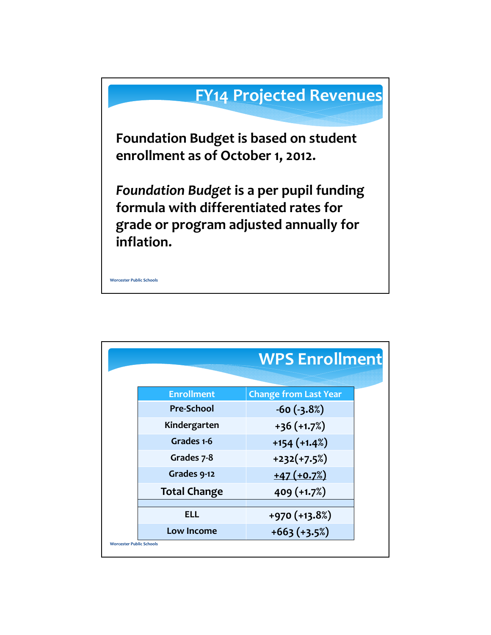

|                     | <b>WPS Enrollment</b>        |
|---------------------|------------------------------|
| <b>Enrollment</b>   | <b>Change from Last Year</b> |
| Pre-School          | $-60(-3.8%)$                 |
| Kindergarten        | $+36 (+1.7%)$                |
| Grades 1-6          | $+154$ ( $+1.4\%$ )          |
| Grades 7-8          | $+232(+7.5%)$                |
| Grades 9-12         | $+47 (+0.7%)$                |
| <b>Total Change</b> | 409 (+1.7%)                  |
| ELL                 | +970 (+13.8%)                |
| Low Income          | $+663 (+3.5%)$               |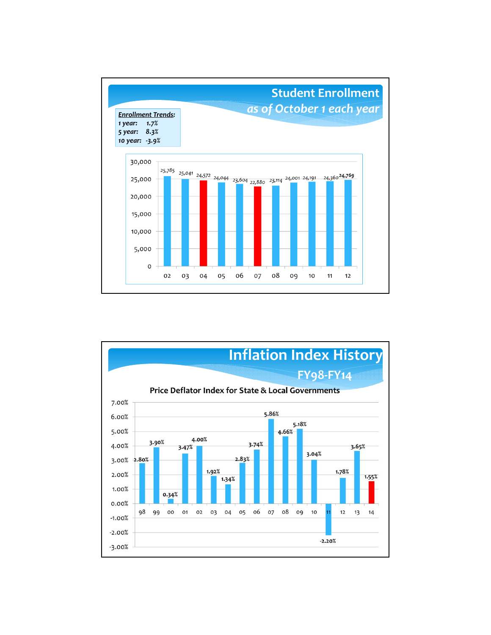

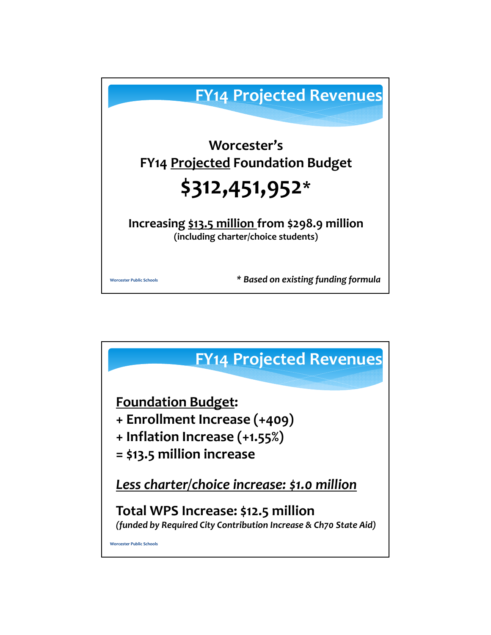

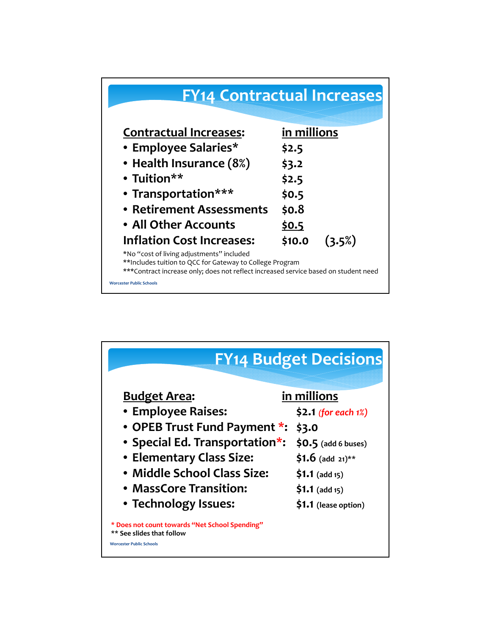

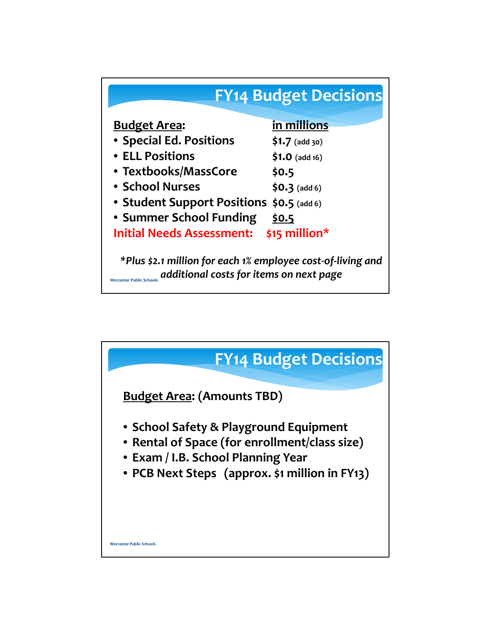

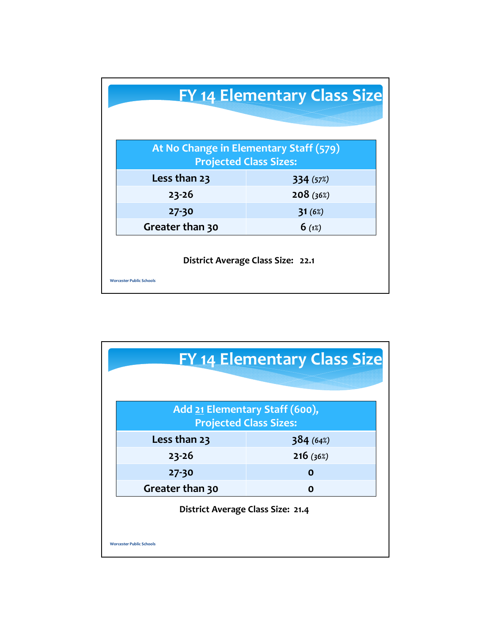| <b>FY 14 Elementary Class Size</b>                                      |           |  |  |  |
|-------------------------------------------------------------------------|-----------|--|--|--|
| At No Change in Elementary Staff (579)<br><b>Projected Class Sizes:</b> |           |  |  |  |
| Less than 23                                                            | 334 (57%) |  |  |  |
| $23 - 26$                                                               | 208(36%)  |  |  |  |
| $27 - 30$                                                               | 31(6%)    |  |  |  |
| Greater than 30                                                         | 6(1%)     |  |  |  |
| District Average Class Size: 22.1<br><b>Worcester Public Schools</b>    |           |  |  |  |

| <b>FY 14 Elementary Class Size</b>                              |          |  |  |  |
|-----------------------------------------------------------------|----------|--|--|--|
| Add 21 Elementary Staff (600),<br><b>Projected Class Sizes:</b> |          |  |  |  |
| Less than 23                                                    | 384(64%) |  |  |  |
| $23 - 26$                                                       | 216(36%) |  |  |  |
| 27-30                                                           | Ο        |  |  |  |
| Greater than 30                                                 | Ο        |  |  |  |
| District Average Class Size: 21.4                               |          |  |  |  |
| <b>Worcester Public Schools</b>                                 |          |  |  |  |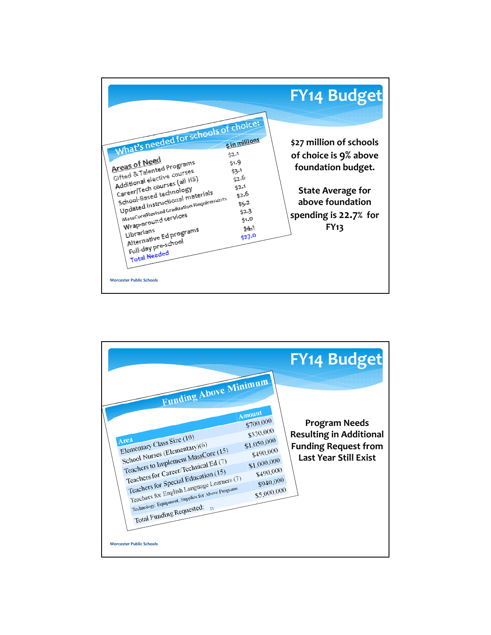|                                                                                                                                                                                                                                                                                                                                                                                                                                                                                                                  | <b>FY14 Budget</b>                                                                                                                                             |
|------------------------------------------------------------------------------------------------------------------------------------------------------------------------------------------------------------------------------------------------------------------------------------------------------------------------------------------------------------------------------------------------------------------------------------------------------------------------------------------------------------------|----------------------------------------------------------------------------------------------------------------------------------------------------------------|
| What's needed for schools of choice<br>\$ in millions<br>Areas of Need<br>44.9<br>Gifted & Talented Programs<br>53.<br>Additional elective courses<br>52,6<br>CareerNTech courses (all HS)<br>52.1<br>School-Based technology<br>Updated instructional materials<br>52.0<br>MassCoreFRevised Graduation Requirements<br>\$5.2<br>42.3<br>Wrap-around services<br>51.0<br>54.1<br>Alternative Ed programs<br>Librarians<br>527.0<br>Full-day pre-school<br><b>Total Needed</b><br><b>Worcester Public Schools</b> | \$27 million of schools<br>of choice is 9% above<br>foundation budget.<br><b>State Average for</b><br>above foundation<br>spending is 22.7% for<br><b>FY13</b> |

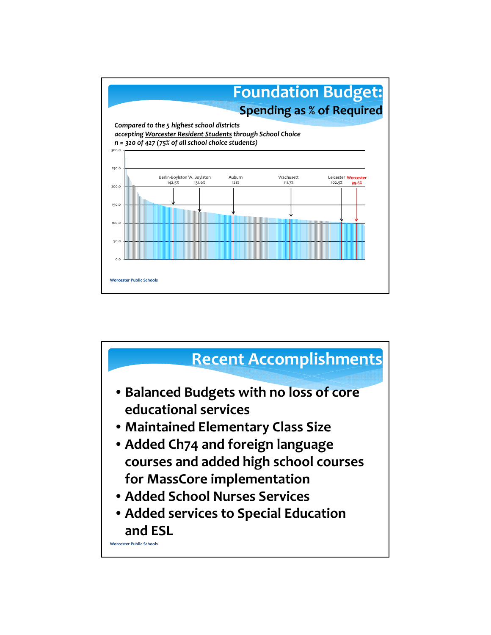

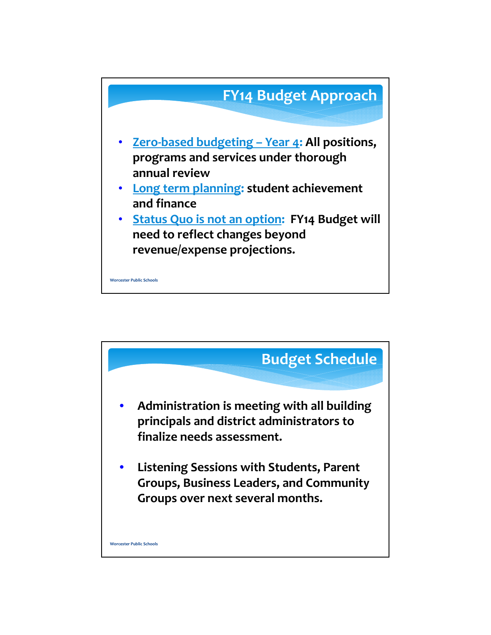